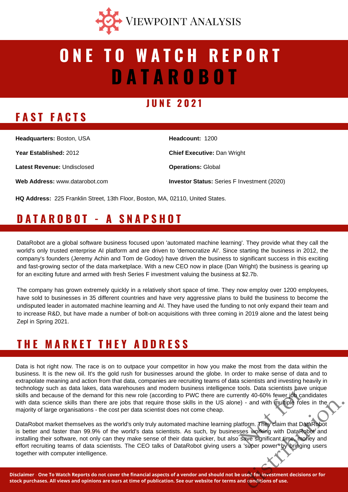

# **D A T A R O B O T O N E T O W A T C H R E P O R T**

#### **J U N E 2 0 2 1**

## **F A S T F A C T S**

| Headcount: 1200                                    |
|----------------------------------------------------|
| <b>Chief Executive: Dan Wright</b>                 |
| <b>Operations: Global</b>                          |
| <b>Investor Status:</b> Series F Investment (2020) |
|                                                    |

**HQ Address:** 225 Franklin Street, 13th Floor, Boston, MA, 02110, United States.

## **D A T A R O B O T - A S N A P S H O T**

DataRobot are a global software business focused upon 'automated machine learning'. They provide what they call the world's only trusted enterprise AI platform and are driven to 'democratize AI'. Since starting the business in 2012, the company's founders (Jeremy Achin and Tom de Godoy) have driven the business to significant success in this exciting and fast-growing sector of the data marketplace. With a new CEO now in place (Dan Wright) the business is gearing up for an exciting future and armed with fresh Series F investment valuing the business at \$2.7b.

The company has grown extremely quickly in a relatively short space of time. They now employ over 1200 employees, have sold to businesses in 35 different countries and have very aggressive plans to build the business to become the undisputed leader in automated machine learning and AI. They have used the funding to not only expand their team and to increase R&D, but have made a number of bolt-on acquisitions with three coming in 2019 alone and the latest being Zepl in Spring 2021.

## **T H E M A R K E T T H E Y A D D R E S S**

Data is hot right now. The race is on to outpace your competitor in how you make the most from the data within the business. It is the new oil. It's the gold rush for businesses around the globe. In order to make sense of data and to extrapolate meaning and action from that data, companies are recruiting teams of data scientists and investing heavily in technology such as data lakes, data warehouses and modern business intelligence tools. Data scientists have unique skills and because of the demand for this new role (according to PWC there are currently 40-60% fewer job candidates with data science skills than there are jobs that require those skills in the US alone) - and with multiple roles in the majority of large organisations - the cost per data scientist does not come cheap.

DataRobot market themselves as the world's only truly automated machine learning platform. They claim that DataRobot is better and faster than 99.9% of the world's data scientists. As such, by businesses working with DataRobot and installing their software, not only can they make sense of their data quicker, but also save significant time, money and effort recruiting teams of data scientists. The CEO talks of DataRobot giving users a 'super power' by bringing users together with computer intelligence. cools. Data scientists have the<br>ently 40-60% fewer job cance) - and with multiple roles<br>atform. They claim that Data<br>sess working with DataRob<br>save significant time, mone<br>a 'super power' by bringing Franchise The Multiple roles in the<br>distribution. They claim that DataRobot<br>distribution. They claim that DataRobot<br>and save significant time, money and<br>distribution of use the Multiple of the Multiple Roles.<br>and condition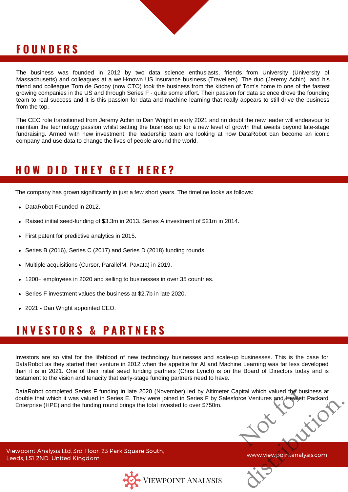#### **F O U N D E R S**

The business was founded in 2012 by two data science enthusiasts, friends from University (University of Massachusetts) and colleagues at a well-known US insurance business (Travellers). The duo (Jeremy Achin) and his friend and colleague Tom de Godoy (now CTO) took the business from the kitchen of Tom's home to one of the fastest growing companies in the US and through Series F - quite some effort. Their passion for data science drove the founding team to real success and it is this passion for data and machine learning that really appears to still drive the business from the top.

The CEO role transitioned from Jeremy Achin to Dan Wright in early 2021 and no doubt the new leader will endeavour to maintain the technology passion whilst setting the business up for a new level of growth that awaits beyond late-stage fundraising. Armed with new investment, the leadership team are looking at how DataRobot can become an iconic company and use data to change the lives of people around the world.

#### **H O W D I D T H E Y G E T H E R E ?**

The company has grown significantly in just a few short years. The timeline looks as follows:

- DataRobot Founded in 2012.
- Raised initial seed-funding of \$3.3m in 2013. Series A investment of \$21m in 2014.
- First patent for predictive analytics in 2015.
- Series B (2016), Series C (2017) and Series D (2018) funding rounds.
- Multiple acquisitions (Cursor, ParallelM, Paxata) in 2019.
- 1200+ employees in 2020 and selling to businesses in over 35 countries.
- Series F investment values the business at \$2.7b in late 2020.
- 2021 Dan Wright appointed CEO.

### **I N V E S T O R S & P A R T N E R S**

Investors are so vital for the lifeblood of new technology businesses and scale-up businesses. This is the case for DataRobot as they started their venture in 2012 when the appetite for AI and Machine Learning was far less developed than it is in 2021. One of their initial seed funding partners (Chris Lynch) is on the Board of Directors today and is testament to the vision and tenacity that early-stage funding partners need to have.

DataRobot completed Series F funding in late 2020 (November) led by Altimeter Capital which valued the business at double that which it was valued in Series E. They were joined in Series F by Salesforce Ventures and Hewlet double that which it was valued in Series E. They were joined in Series F by Salesforce Ventures and Hewlett Packard Enterprise (HPE) and the funding round brings the total invested to over \$750m. Eventures and Hewielt Packard

Viewpoint Analysis Ltd, 3rd Floor, 23 Park Square South, Leeds, LS1 2ND, United Kingdom



www.viewpointanalysis.com

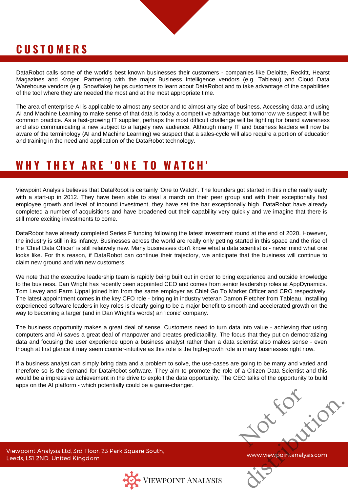### **C U S T O M E R S**

DataRobot calls some of the world's best known businesses their customers - companies like Deloitte, Reckitt, Hearst Magazines and Kroger. Partnering with the major Business Intelligence vendors (e.g. Tableau) and Cloud Data Warehouse vendors (e.g. Snowflake) helps customers to learn about DataRobot and to take advantage of the capabilities of the tool where they are needed the most and at the most appropriate time.

The area of enterprise AI is applicable to almost any sector and to almost any size of business. Accessing data and using AI and Machine Learning to make sense of that data is today a competitive advantage but tomorrow we suspect it will be common practice. As a fast-growing IT supplier, perhaps the most difficult challenge will be fighting for brand awareness and also communicating a new subject to a largely new audience. Although many IT and business leaders will now be aware of the terminology (AI and Machine Learning) we suspect that a sales-cycle will also require a portion of education and training in the need and application of the DataRobot technology.

#### **W H Y T H E Y A R E ' O N E T O W A T C H '**

Viewpoint Analysis believes that DataRobot is certainly 'One to Watch'. The founders got started in this niche really early with a start-up in 2012. They have been able to steal a march on their peer group and with their exceptionally fast employee growth and level of inbound investment, they have set the bar exceptionally high. DataRobot have already completed a number of acquisitions and have broadened out their capability very quickly and we imagine that there is still more exciting investments to come.

DataRobot have already completed Series F funding following the latest investment round at the end of 2020. However, the industry is still in its infancy. Businesses across the world are really only getting started in this space and the rise of the 'Chief Data Officer' is still relatively new. Many businesses don't know what a data scientist is - never mind what one looks like. For this reason, if DataRobot can continue their trajectory, we anticipate that the business will continue to claim new ground and win new customers.

We note that the executive leadership team is rapidly being built out in order to bring experience and outside knowledge to the business. Dan Wright has recently been appointed CEO and comes from senior leadership roles at AppDynamics. Tom Levey and Parm Uppal joined him from the same employer as Chief Go To Market Officer and CRO respectively. The latest appointment comes in the key CFO role - bringing in industry veteran Damon Fletcher from Tableau. Installing experienced software leaders in key roles is clearly going to be a major benefit to smooth and accelerated growth on the way to becoming a larger (and in Dan Wright's words) an 'iconic' company.

The business opportunity makes a great deal of sense. Customers need to turn data into value - achieving that using computers and AI saves a great deal of manpower and creates predictability. The focus that they put on democratizing data and focusing the user experience upon a business analyst rather than a data scientist also makes sense - even though at first glance it may seem counter-intuitive as this role is the high-growth role in many businesses right now.

If a business analyst can simply bring data and a problem to solve, the use-cases are going to be many and varied and therefore so is the demand for DataRobot software. They aim to promote the role of a Citizen Data Scientist and this would be a impressive achievement in the drive to exploit the data opportunity. The CEO talks of the opportunity to build apps on the AI platform - which potentially could be a game-changer.

Not for distribution.

Viewpoint Analysis Ltd, 3rd Floor, 23 Park Square South, Leeds, LS1 2ND, United Kingdom



www.viewpointanalysis.com